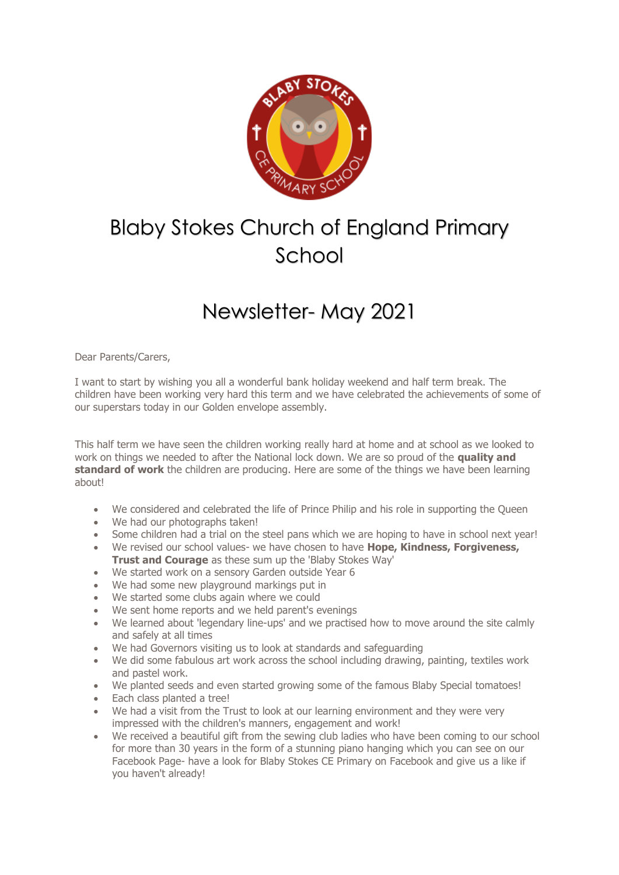

## Blaby Stokes Church of England Primary School

## Newsletter- May 2021

Dear Parents/Carers,

I want to start by wishing you all a wonderful bank holiday weekend and half term break. The children have been working very hard this term and we have celebrated the achievements of some of our superstars today in our Golden envelope assembly.

This half term we have seen the children working really hard at home and at school as we looked to work on things we needed to after the National lock down. We are so proud of the **quality and standard of work** the children are producing. Here are some of the things we have been learning about!

- We considered and celebrated the life of Prince Philip and his role in supporting the Queen
- We had our photographs taken!
- Some children had a trial on the steel pans which we are hoping to have in school next year!
- We revised our school values- we have chosen to have **Hope, Kindness, Forgiveness, Trust and Courage** as these sum up the 'Blaby Stokes Way'
- We started work on a sensory Garden outside Year 6
- We had some new playground markings put in
- We started some clubs again where we could
- We sent home reports and we held parent's evenings
- We learned about 'legendary line-ups' and we practised how to move around the site calmly and safely at all times
- We had Governors visiting us to look at standards and safeguarding
- We did some fabulous art work across the school including drawing, painting, textiles work and pastel work.
- We planted seeds and even started growing some of the famous Blaby Special tomatoes!
- Each class planted a tree!
- We had a visit from the Trust to look at our learning environment and they were very impressed with the children's manners, engagement and work!
- We received a beautiful gift from the sewing club ladies who have been coming to our school for more than 30 years in the form of a stunning piano hanging which you can see on our Facebook Page- have a look for Blaby Stokes CE Primary on Facebook and give us a like if you haven't already!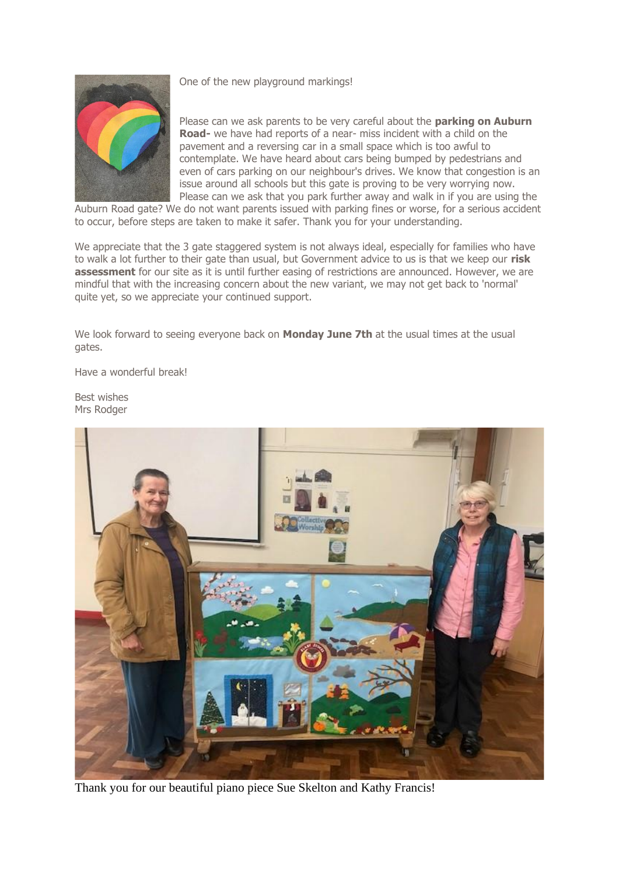One of the new playground markings!

Please can we ask parents to be very careful about the **parking on Auburn Road-** we have had reports of a near- miss incident with a child on the pavement and a reversing car in a small space which is too awful to contemplate. We have heard about cars being bumped by pedestrians and even of cars parking on our neighbour's drives. We know that congestion is an issue around all schools but this gate is proving to be very worrying now. Please can we ask that you park further away and walk in if you are using the

Auburn Road gate? We do not want parents issued with parking fines or worse, for a serious accident to occur, before steps are taken to make it safer. Thank you for your understanding.

We appreciate that the 3 gate staggered system is not always ideal, especially for families who have to walk a lot further to their gate than usual, but Government advice to us is that we keep our **risk assessment** for our site as it is until further easing of restrictions are announced. However, we are mindful that with the increasing concern about the new variant, we may not get back to 'normal' quite yet, so we appreciate your continued support.

We look forward to seeing everyone back on **Monday June 7th** at the usual times at the usual gates.

Have a wonderful break!

Best wishes Mrs Rodger



Thank you for our beautiful piano piece Sue Skelton and Kathy Francis!